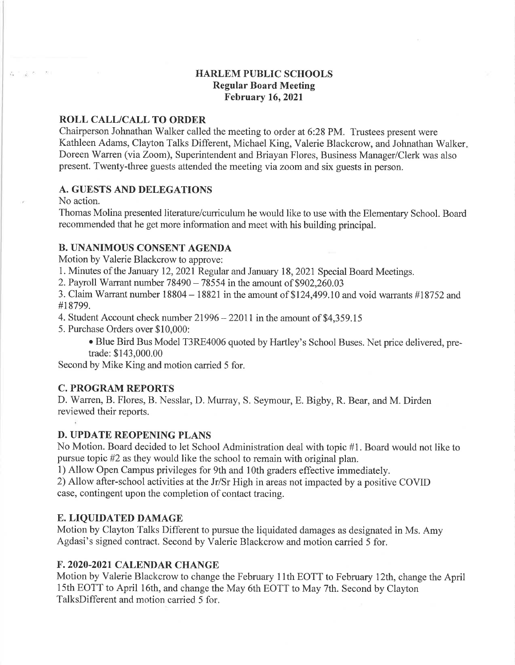# HARLEM PUBLIC SCHOOLS Regular Board Meeting February 16,2021

#### ROLL CALL/CALL TO ORDER

Chairperson Johnathan Walker called the meeting to order at 6:28 PM. Trustees present were Kathleen Adams, Clayton Talks Different, Michael King, Valerie Blackcrow, and Johnathan Walker. Doreen Warren (via Zoom), Superintendent and Briayan Flores, Business Manager/Clerk was also present. Twenty-three guests attended the meeting via zoom and six guests in person.

# A. GUESTS AND DELEGATIONS

No action.

 $\label{eq:2.1} \begin{array}{cccccccccc} \mu_1 & = & & \mu_1 & \mu_2 & \cdots & \mu_{\mathcal{R}} & \cdots & \mu_{\mathcal{R}} \end{array}$ 

Thomas Molina presented literature/curriculum he would like to use with the Elementary School. Board recommended that he get more information and meet with his building principal.

## B. UNANIMOUS CONSENT AGENDA

Motion by Valerie Blackcrow to approve:

1. Minutes of the January 12,2021Regular and January I8,202I Special Board Meetings.

2. Payroll Warrant number  $78490 - 78554$  in the amount of  $$902,260.03$ 

3. Claim Warrant number  $18804 - 18821$  in the amount of \$124,499.10 and void warrants  $\#18752$  and #18799.

4. Student Account check number 21996 - 22011 in the amount of \$4,359.15

5. Purchase Orders over \$10,000:

o Blue Bird Bus Model T3RE4006 quoted by Hartley's School Buses. Net price delivered, pretrade: \$143,000.00

Second by Mike King and motion carried 5 for.

## **C. PROGRAM REPORTS**

D. Warren, B. Flores, B. Nesslar, D. Murray, S. Seymour, E. Bigby, R. Bear, and M. Dirden reviewed their reports.

#### D. UPDATE REOPENING PLANS

No Motion. Board decided to let School Administration deal with topic #1. Board would not like to pursue topic #2 as they would like the school to remain with original plan.

1) Allow Open Campus privileges for 9th and 1Oth graders effective immediately.

2) Allow after-school activities at the Jr/Sr High in areas not impacted by a positive COVID case, contingent upon the completion of contact tracing.

#### E. LIQUIDATED DAMAGE

Motion by Clayton Talks Different to pursue the liquidated damages as designated in Ms. Amy Agdasi's signed contract. Second by Valerie Blackcrow and motion carried 5 for.

#### ß. 2020.2021 CALENDAR CHANGE

Motion by Valerie Blackcrow to change the February l lth EOTT to February l2th, change the April 15th EOTT to April 16th, and change the May 6th EOTT to May 7th. Second by Clayton TalksDifferent and motion carried 5 for.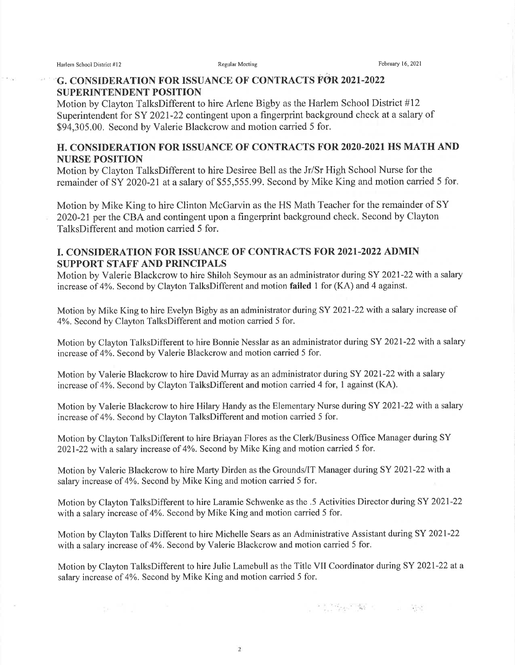# G. CONSIDERATION FOR ISSUANCE OF CONTRACTS FOR 2021-2022 SUPERINTENDENT POSITION

Motion by Clayton TalksDifferent to hire Arlene Bigby as the Harlem School District #12 Superintendent for SY 2021-22 contingent upon a fingerprint background check at a salary of \$94,305.00. Second by Valerie Blackcrow and motion carried 5 for.

## H. CONSIDERATION FOR ISSUANCE OF CONTRACTS FOR 2O2O.2O2I HS MATH AND NURSE POSITION

Motion by Clayton TalksDifferent to hire Desiree Bell as the Jr/Sr High School Nurse for the remainder of SY 2020-2I at a salary of \$55,555.99. Second by Mike King and motion carried 5 for.

Motion by Mike King to hire Clinton McGarvin as the HS Math Teacher for the remainder of SY 2020-21 per the CBA and contingent upon a fingerprint background check. Second by Clayton TalksDifferent and motion carried 5 for.

# I. CONSIDERATION FOR ISSUANCE OF CONTRACTS FOR 2021-2022 ADMIN SUPPORT STAFF AND PRINCIPALS

Motion by Valerie Blackcrow to hire Shiloh Seymour as an administrator during SY 2021-22 with a salary increase of 4%. Second by Clayton TalksDifferent and motion failed 1 for (KA) and 4 against.

Motion by Mike King to hire Evelyn Bigby as an administrator during SY 2021-22 with a salary increase of 4%. Second by Clayton TalksDifferent and motion carried 5 for.

Motion by Clayton TalksDifferent to hire Bonnie Nesslar as an administrator during SY 2021-22 with a salary increase of 4%. Second by Valerie Blackcrow and motion carried 5 for.

Motion by Valerie Blackcrow to hire David Murray as an administrator during SY 2021-22 with a salary increase of 4%. Second by Clayton TalksDifferent and motion carried 4 for, 1 against (KA).

Motion by Valerie Blackcrow to hire Hilary Handy as the Elementary Nurse during SY 2021-22 with a salary increase of 4Yo. Second by Clayton TalksDifferent and motion camied 5 for.

Motion by Clayton TalksDifferent to hire Briayan Flores as the Clerk/Business Office Manager during SY 2021-22 with a salary increase of 4%. Second by Mike King and motion carried 5 for.

Motion by Valerie Blackcrow to hire Marfy Dirden as the Grounds/IT Manager during SY 2021-22 with a salary increase of 4%. Second by Mike King and motion carried 5 for.

Motion by Clayton TalksDifferent to hire Laramie Schwenke as the .5 Activities Director during SY 2021-22 with a salary increase of 4%. Second by Mike King and motion carried 5 for.

Motion by Clayton Talks Different to hire Michelle Sears as an Administrative Assistant during SY 2021-22 with a salary increase of 4%. Second by Valerie Blackcrow and motion carried 5 for.

Motion by Clayton TalksDifferent to hire Julie Lamebull as the Title VII Coordinator during SY 2021-22 at a salary increase of 4%. Second by Mike King and motion carried 5 for.

The Secret State of the Secret State